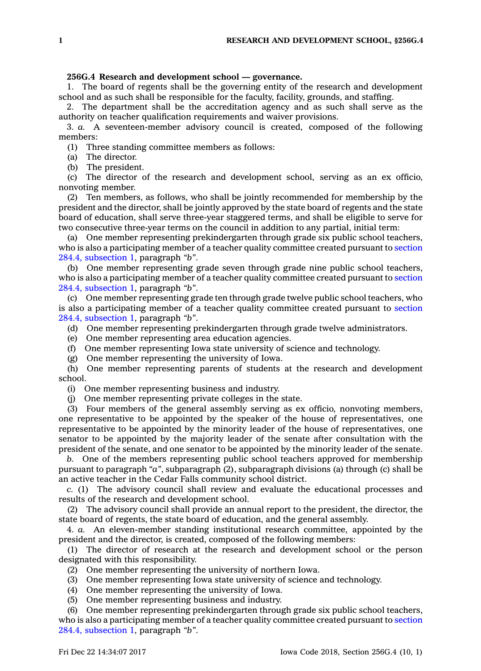## **256G.4 Research and development school —governance.**

1. The board of regents shall be the governing entity of the research and development school and as such shall be responsible for the faculty, facility, grounds, and staffing.

2. The department shall be the accreditation agency and as such shall serve as the authority on teacher qualification requirements and waiver provisions.

3. *a.* A seventeen-member advisory council is created, composed of the following members:

(1) Three standing committee members as follows:

(a) The director.

(b) The president.

(c) The director of the research and development school, serving as an ex officio, nonvoting member.

(2) Ten members, as follows, who shall be jointly recommended for membership by the president and the director, shall be jointly approved by the state board of regents and the state board of education, shall serve three-year staggered terms, and shall be eligible to serve for two consecutive three-year terms on the council in addition to any partial, initial term:

(a) One member representing prekindergarten through grade six public school teachers, who is also <sup>a</sup> participating member of <sup>a</sup> teacher quality committee created pursuant to [section](https://www.legis.iowa.gov/docs/code/284.4.pdf) 284.4, [subsection](https://www.legis.iowa.gov/docs/code/284.4.pdf) 1, paragraph *"b"*.

(b) One member representing grade seven through grade nine public school teachers, who is also <sup>a</sup> participating member of <sup>a</sup> teacher quality committee created pursuant to [section](https://www.legis.iowa.gov/docs/code/284.4.pdf) 284.4, [subsection](https://www.legis.iowa.gov/docs/code/284.4.pdf) 1, paragraph *"b"*.

(c) One member representing grade ten through grade twelve public school teachers, who is also <sup>a</sup> participating member of <sup>a</sup> teacher quality committee created pursuant to [section](https://www.legis.iowa.gov/docs/code/284.4.pdf) 284.4, [subsection](https://www.legis.iowa.gov/docs/code/284.4.pdf) 1, paragraph *"b"*.

(d) One member representing prekindergarten through grade twelve administrators.

(e) One member representing area education agencies.

(f) One member representing Iowa state university of science and technology.

(g) One member representing the university of Iowa.

(h) One member representing parents of students at the research and development school.

(i) One member representing business and industry.

(j) One member representing private colleges in the state.

(3) Four members of the general assembly serving as ex officio, nonvoting members, one representative to be appointed by the speaker of the house of representatives, one representative to be appointed by the minority leader of the house of representatives, one senator to be appointed by the majority leader of the senate after consultation with the president of the senate, and one senator to be appointed by the minority leader of the senate.

*b.* One of the members representing public school teachers approved for membership pursuant to paragraph *"a"*, subparagraph (2), subparagraph divisions (a) through (c) shall be an active teacher in the Cedar Falls community school district.

*c.* (1) The advisory council shall review and evaluate the educational processes and results of the research and development school.

(2) The advisory council shall provide an annual report to the president, the director, the state board of regents, the state board of education, and the general assembly.

4. *a.* An eleven-member standing institutional research committee, appointed by the president and the director, is created, composed of the following members:

(1) The director of research at the research and development school or the person designated with this responsibility.

(2) One member representing the university of northern Iowa.

(3) One member representing Iowa state university of science and technology.

(4) One member representing the university of Iowa.

(5) One member representing business and industry.

(6) One member representing prekindergarten through grade six public school teachers, who is also <sup>a</sup> participating member of <sup>a</sup> teacher quality committee created pursuant to [section](https://www.legis.iowa.gov/docs/code/284.4.pdf) 284.4, [subsection](https://www.legis.iowa.gov/docs/code/284.4.pdf) 1, paragraph *"b"*.